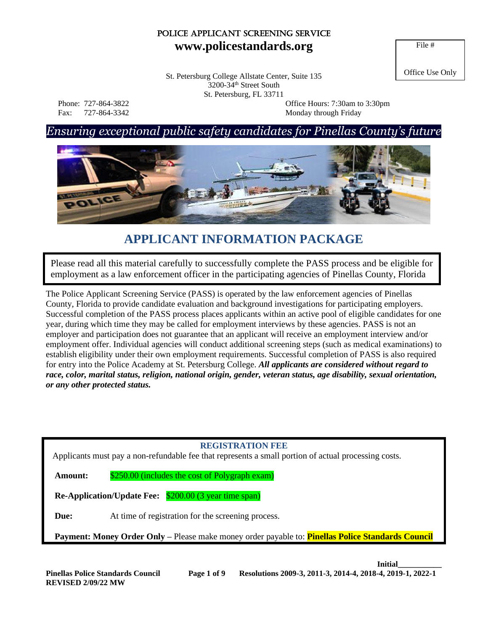# Police Applicant Screening Service **www.policestandards.org**

File #

Office Use Only St. Petersburg College Allstate Center, Suite 135 3200-34th Street South St. Petersburg, FL 33711

 Phone: 727-864-3822 Office Hours: 7:30am to 3:30pm Fax: 727-864-3342 Monday through Friday

# *Ensuring exceptional public safety candidates for Pinellas County's future*



# **APPLICANT INFORMATION PACKAGE**

Please read all this material carefully to successfully complete the PASS process and be eligible for employment as a law enforcement officer in the participating agencies of Pinellas County, Florida

The Police Applicant Screening Service (PASS) is operated by the law enforcement agencies of Pinellas County, Florida to provide candidate evaluation and background investigations for participating employers. Successful completion of the PASS process places applicants within an active pool of eligible candidates for one year, during which time they may be called for employment interviews by these agencies. PASS is not an employer and participation does not guarantee that an applicant will receive an employment interview and/or employment offer. Individual agencies will conduct additional screening steps (such as medical examinations) to establish eligibility under their own employment requirements. Successful completion of PASS is also required for entry into the Police Academy at St. Petersburg College. *All applicants are considered without regard to race, color, marital status, religion, national origin, gender, veteran status, age disability, sexual orientation, or any other protected status.* 

### **REGISTRATION FEE**

Applicants must pay a non-refundable fee that represents a small portion of actual processing costs.

**Amount:** \$250.00 (includes the cost of Polygraph exam)

**Re-Application/Update Fee:** \$200.00 (3 year time span)

**Due:** At time of registration for the screening process.

**Payment: Money Order Only –** Please make money order payable to: **Pinellas Police Standards Council**

**Initial\_\_\_\_\_\_\_\_\_\_\_**

**REVISED 2/09/22 MW**

**Pinellas Police Standards Council Page 1 of 9 Resolutions 2009-3, 2011-3, 2014-4, 2018-4, 2019-1, 2022-1**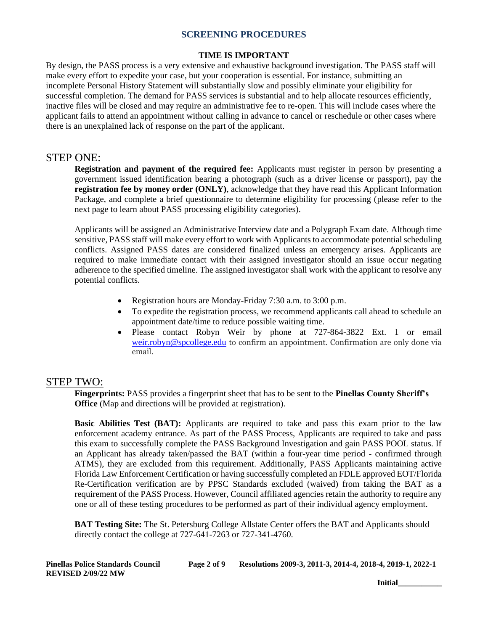#### **TIME IS IMPORTANT**

By design, the PASS process is a very extensive and exhaustive background investigation. The PASS staff will make every effort to expedite your case, but your cooperation is essential. For instance, submitting an incomplete Personal History Statement will substantially slow and possibly eliminate your eligibility for successful completion. The demand for PASS services is substantial and to help allocate resources efficiently, inactive files will be closed and may require an administrative fee to re-open. This will include cases where the applicant fails to attend an appointment without calling in advance to cancel or reschedule or other cases where there is an unexplained lack of response on the part of the applicant.

### STEP ONE:

**Registration and payment of the required fee:** Applicants must register in person by presenting a government issued identification bearing a photograph (such as a driver license or passport), pay the **registration fee by money order (ONLY)**, acknowledge that they have read this Applicant Information Package, and complete a brief questionnaire to determine eligibility for processing (please refer to the next page to learn about PASS processing eligibility categories).

Applicants will be assigned an Administrative Interview date and a Polygraph Exam date. Although time sensitive, PASS staff will make every effort to work with Applicants to accommodate potential scheduling conflicts. Assigned PASS dates are considered finalized unless an emergency arises. Applicants are required to make immediate contact with their assigned investigator should an issue occur negating adherence to the specified timeline. The assigned investigator shall work with the applicant to resolve any potential conflicts.

- Registration hours are Monday-Friday 7:30 a.m. to 3:00 p.m.
- To expedite the registration process, we recommend applicants call ahead to schedule an appointment date/time to reduce possible waiting time.
- Please contact Robyn Weir by phone at 727-864-3822 Ext. 1 or email [weir.robyn@spcollege.edu](mailto:weir.robyn@spcollege.edu) to confirm an appointment. Confirmation are only done via email.

### STEP TWO:

**Fingerprints:** PASS provides a fingerprint sheet that has to be sent to the **Pinellas County Sheriff's Office** (Map and directions will be provided at registration).

**Basic Abilities Test (BAT):** Applicants are required to take and pass this exam prior to the law enforcement academy entrance. As part of the PASS Process, Applicants are required to take and pass this exam to successfully complete the PASS Background Investigation and gain PASS POOL status. If an Applicant has already taken/passed the BAT (within a four-year time period - confirmed through ATMS), they are excluded from this requirement. Additionally, PASS Applicants maintaining active Florida Law Enforcement Certification or having successfully completed an FDLE approved EOT/Florida Re-Certification verification are by PPSC Standards excluded (waived) from taking the BAT as a requirement of the PASS Process. However, Council affiliated agencies retain the authority to require any one or all of these testing procedures to be performed as part of their individual agency employment.

**BAT Testing Site:** The St. Petersburg College Allstate Center offers the BAT and Applicants should directly contact the college at 727-641-7263 or 727-341-4760.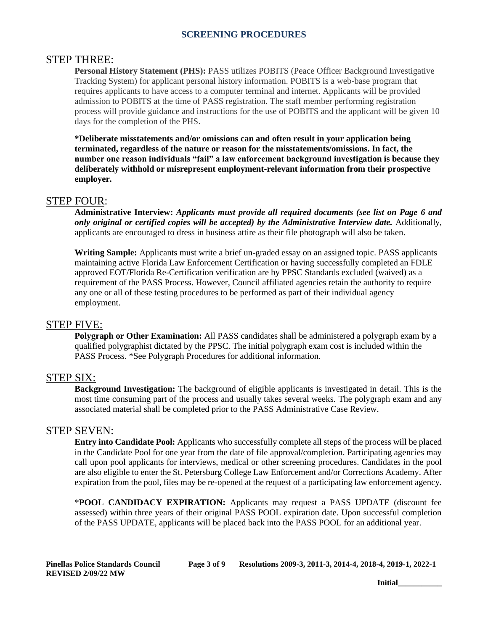### STEP THREE:

**Personal History Statement (PHS):** PASS utilizes POBITS (Peace Officer Background Investigative Tracking System) for applicant personal history information. POBITS is a web-base program that requires applicants to have access to a computer terminal and internet. Applicants will be provided admission to POBITS at the time of PASS registration. The staff member performing registration process will provide guidance and instructions for the use of POBITS and the applicant will be given 10 days for the completion of the PHS.

**\*Deliberate misstatements and/or omissions can and often result in your application being terminated, regardless of the nature or reason for the misstatements/omissions. In fact, the number one reason individuals "fail" a law enforcement background investigation is because they deliberately withhold or misrepresent employment-relevant information from their prospective employer.** 

### STEP FOUR:

**Administrative Interview:** *Applicants must provide all required documents (see list on Page 6 and only original or certified copies will be accepted) by the Administrative Interview date.* Additionally, applicants are encouraged to dress in business attire as their file photograph will also be taken.

**Writing Sample:** Applicants must write a brief un-graded essay on an assigned topic. PASS applicants maintaining active Florida Law Enforcement Certification or having successfully completed an FDLE approved EOT/Florida Re-Certification verification are by PPSC Standards excluded (waived) as a requirement of the PASS Process. However, Council affiliated agencies retain the authority to require any one or all of these testing procedures to be performed as part of their individual agency employment.

### STEP FIVE:

**Polygraph or Other Examination:** All PASS candidates shall be administered a polygraph exam by a qualified polygraphist dictated by the PPSC. The initial polygraph exam cost is included within the PASS Process. \*See Polygraph Procedures for additional information.

### STEP SIX:

**Background Investigation:** The background of eligible applicants is investigated in detail. This is the most time consuming part of the process and usually takes several weeks. The polygraph exam and any associated material shall be completed prior to the PASS Administrative Case Review.

### STEP SEVEN:

**Entry into Candidate Pool:** Applicants who successfully complete all steps of the process will be placed in the Candidate Pool for one year from the date of file approval/completion. Participating agencies may call upon pool applicants for interviews, medical or other screening procedures. Candidates in the pool are also eligible to enter the St. Petersburg College Law Enforcement and/or Corrections Academy. After expiration from the pool, files may be re-opened at the request of a participating law enforcement agency.

\***POOL CANDIDACY EXPIRATION:** Applicants may request a PASS UPDATE (discount fee assessed) within three years of their original PASS POOL expiration date. Upon successful completion of the PASS UPDATE, applicants will be placed back into the PASS POOL for an additional year.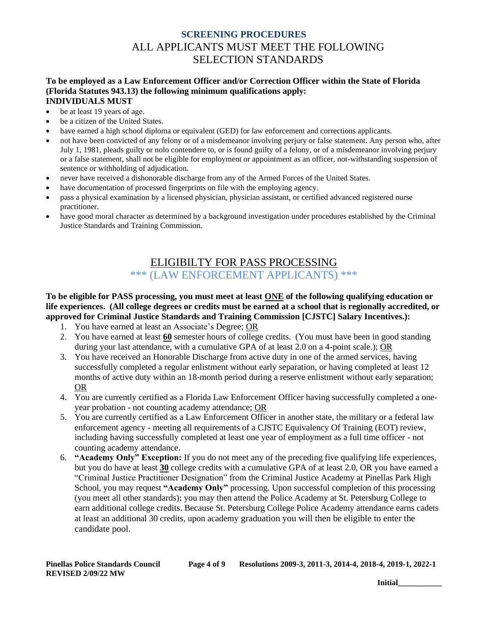# **SCREENING PROCEDURES** ALL APPLICANTS MUST MEET THE FOLLOWING SELECTION STANDARDS

#### **To be employed as a Law Enforcement Officer and/or Correction Officer within the State of Florida (Florida Statutes 943.13) the following minimum qualifications apply: INDIVIDUALS MUST**

- be at least 19 years of age.
- be a citizen of the United States.
- have earned a high school diploma or equivalent (GED) for law enforcement and corrections applicants.
- not have been convicted of any felony or of a misdemeanor involving perjury or false statement. Any person who, after July 1, 1981, pleads guilty or nolo contendere to, or is found guilty of a felony, or of a misdemeanor involving perjury or a false statement, shall not be eligible for employment or appointment as an officer, not-withstanding suspension of sentence or withholding of adjudication.
- never have received a dishonorable discharge from any of the Armed Forces of the United States.
- have documentation of processed fingerprints on file with the employing agency.
- pass a physical examination by a licensed physician, physician assistant, or certified advanced registered nurse practitioner.
- have good moral character as determined by a background investigation under procedures established by the Criminal Justice Standards and Training Commission.

# ELIGIBILTY FOR PASS PROCESSING \*\*\* (LAW ENFORCEMENT APPLICANTS) \*\*\*

### **To be eligible for PASS processing, you must meet at least ONE of the following qualifying education or life experiences. (All college degrees or credits must be earned at a school that is regionally accredited, or approved for Criminal Justice Standards and Training Commission [CJSTC] Salary Incentives.):**

- 1. You have earned at least an Associate's Degree; OR
- 2. You have earned at least **60** semester hours of college credits. (You must have been in good standing during your last attendance, with a cumulative GPA of at least 2.0 on a 4-point scale.); OR
- 3. You have received an Honorable Discharge from active duty in one of the armed services, having successfully completed a regular enlistment without early separation, or having completed at least 12 months of active duty within an 18-month period during a reserve enlistment without early separation; OR
- 4. You are currently certified as a Florida Law Enforcement Officer having successfully completed a oneyear probation - not counting academy attendance; OR
- 5. You are currently certified as a Law Enforcement Officer in another state, the military or a federal law enforcement agency - meeting all requirements of a CJSTC Equivalency Of Training (EOT) review, including having successfully completed at least one year of employment as a full time officer - not counting academy attendance.
- 6. **"Academy Only" Exception:** If you do not meet any of the preceding five qualifying life experiences, but you do have at least **30** college credits with a cumulative GPA of at least 2.0, OR you have earned a "Criminal Justice Practitioner Designation" from the Criminal Justice Academy at Pinellas Park High School, you may request **"Academy Only"** processing. Upon successful completion of this processing (you meet all other standards); you may then attend the Police Academy at St. Petersburg College to earn additional college credits. Because St. Petersburg College Police Academy attendance earns cadets at least an additional 30 credits, upon academy graduation you will then be eligible to enter the candidate pool.

| <b>Pinellas Police Standards Council</b> | Page 4 of 9 | Resolutions 2009-3, 2011-3, 2014-4, 2018-4, 2019-1, 2022-1 |
|------------------------------------------|-------------|------------------------------------------------------------|
| <b>REVISED 2/09/22 MW</b>                |             |                                                            |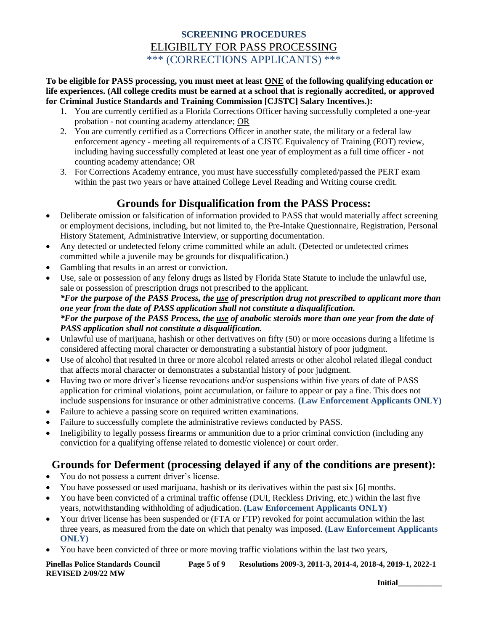# **SCREENING PROCEDURES** ELIGIBILTY FOR PASS PROCESSING \*\*\* (CORRECTIONS APPLICANTS) \*\*\*

**To be eligible for PASS processing, you must meet at least ONE of the following qualifying education or life experiences. (All college credits must be earned at a school that is regionally accredited, or approved for Criminal Justice Standards and Training Commission [CJSTC] Salary Incentives.):**

- 1. You are currently certified as a Florida Corrections Officer having successfully completed a one-year probation - not counting academy attendance; OR
- 2. You are currently certified as a Corrections Officer in another state, the military or a federal law enforcement agency - meeting all requirements of a CJSTC Equivalency of Training (EOT) review, including having successfully completed at least one year of employment as a full time officer - not counting academy attendance; OR
- 3. For Corrections Academy entrance, you must have successfully completed/passed the PERT exam within the past two years or have attained College Level Reading and Writing course credit.

# **Grounds for Disqualification from the PASS Process:**

- Deliberate omission or falsification of information provided to PASS that would materially affect screening or employment decisions, including, but not limited to, the Pre-Intake Questionnaire, Registration, Personal History Statement, Administrative Interview, or supporting documentation.
- Any detected or undetected felony crime committed while an adult. (Detected or undetected crimes committed while a juvenile may be grounds for disqualification.)
- Gambling that results in an arrest or conviction.
- Use, sale or possession of any felony drugs as listed by Florida State Statute to include the unlawful use, sale or possession of prescription drugs not prescribed to the applicant. *\*For the purpose of the PASS Process, the use of prescription drug not prescribed to applicant more than one year from the date of PASS application shall not constitute a disqualification. \*For the purpose of the PASS Process, the use of anabolic steroids more than one year from the date of PASS application shall not constitute a disqualification.*
- Unlawful use of marijuana, hashish or other derivatives on fifty (50) or more occasions during a lifetime is considered affecting moral character or demonstrating a substantial history of poor judgment.
- Use of alcohol that resulted in three or more alcohol related arrests or other alcohol related illegal conduct that affects moral character or demonstrates a substantial history of poor judgment.
- Having two or more driver's license revocations and/or suspensions within five years of date of PASS application for criminal violations, point accumulation, or failure to appear or pay a fine. This does not include suspensions for insurance or other administrative concerns. **(Law Enforcement Applicants ONLY)**
- Failure to achieve a passing score on required written examinations.
- Failure to successfully complete the administrative reviews conducted by PASS.
- Ineligibility to legally possess firearms or ammunition due to a prior criminal conviction (including any conviction for a qualifying offense related to domestic violence) or court order.

# **Grounds for Deferment (processing delayed if any of the conditions are present):**

- You do not possess a current driver's license.
- You have possessed or used marijuana, hashish or its derivatives within the past six [6] months.
- You have been convicted of a criminal traffic offense (DUI, Reckless Driving, etc.) within the last five years, notwithstanding withholding of adjudication. **(Law Enforcement Applicants ONLY)**
- Your driver license has been suspended or (FTA or FTP) revoked for point accumulation within the last three years, as measured from the date on which that penalty was imposed. **(Law Enforcement Applicants ONLY)**
- You have been convicted of three or more moving traffic violations within the last two years,

**Pinellas Police Standards Council Page 5 of 9 Resolutions 2009-3, 2011-3, 2014-4, 2018-4, 2019-1, 2022-1 REVISED 2/09/22 MW**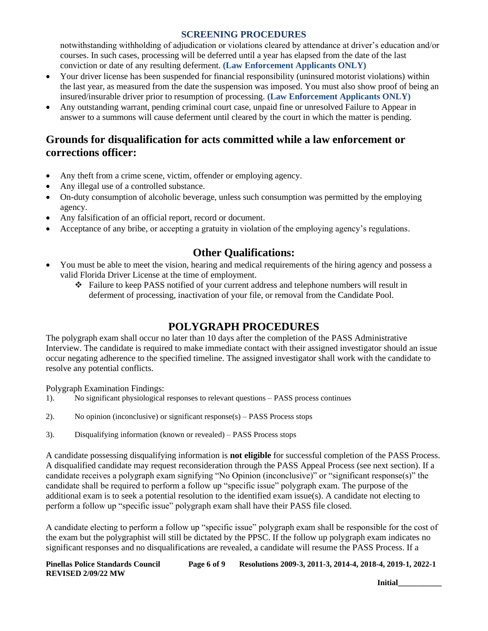notwithstanding withholding of adjudication or violations cleared by attendance at driver's education and/or courses. In such cases, processing will be deferred until a year has elapsed from the date of the last conviction or date of any resulting deferment. **(Law Enforcement Applicants ONLY)**

- Your driver license has been suspended for financial responsibility (uninsured motorist violations) within the last year, as measured from the date the suspension was imposed. You must also show proof of being an insured/insurable driver prior to resumption of processing. **(Law Enforcement Applicants ONLY)**
- Any outstanding warrant, pending criminal court case, unpaid fine or unresolved Failure to Appear in answer to a summons will cause deferment until cleared by the court in which the matter is pending.

# **Grounds for disqualification for acts committed while a law enforcement or corrections officer:**

- Any theft from a crime scene, victim, offender or employing agency.
- Any illegal use of a controlled substance.
- On-duty consumption of alcoholic beverage, unless such consumption was permitted by the employing agency.
- Any falsification of an official report, record or document.
- Acceptance of any bribe, or accepting a gratuity in violation of the employing agency's regulations.

# **Other Qualifications:**

- You must be able to meet the vision, hearing and medical requirements of the hiring agency and possess a valid Florida Driver License at the time of employment.
	- ❖ Failure to keep PASS notified of your current address and telephone numbers will result in deferment of processing, inactivation of your file, or removal from the Candidate Pool.

# **POLYGRAPH PROCEDURES**

The polygraph exam shall occur no later than 10 days after the completion of the PASS Administrative Interview. The candidate is required to make immediate contact with their assigned investigator should an issue occur negating adherence to the specified timeline. The assigned investigator shall work with the candidate to resolve any potential conflicts.

Polygraph Examination Findings:

- 1). No significant physiological responses to relevant questions PASS process continues
- 2). No opinion (inconclusive) or significant response(s) PASS Process stops
- 3). Disqualifying information (known or revealed) PASS Process stops

A candidate possessing disqualifying information is **not eligible** for successful completion of the PASS Process. A disqualified candidate may request reconsideration through the PASS Appeal Process (see next section). If a candidate receives a polygraph exam signifying "No Opinion (inconclusive)" or "significant response(s)" the candidate shall be required to perform a follow up "specific issue" polygraph exam. The purpose of the additional exam is to seek a potential resolution to the identified exam issue(s). A candidate not electing to perform a follow up "specific issue" polygraph exam shall have their PASS file closed.

A candidate electing to perform a follow up "specific issue" polygraph exam shall be responsible for the cost of the exam but the polygraphist will still be dictated by the PPSC. If the follow up polygraph exam indicates no significant responses and no disqualifications are revealed, a candidate will resume the PASS Process. If a

**Pinellas Police Standards Council Page 6 of 9 Resolutions 2009-3, 2011-3, 2014-4, 2018-4, 2019-1, 2022-1 REVISED 2/09/22 MW**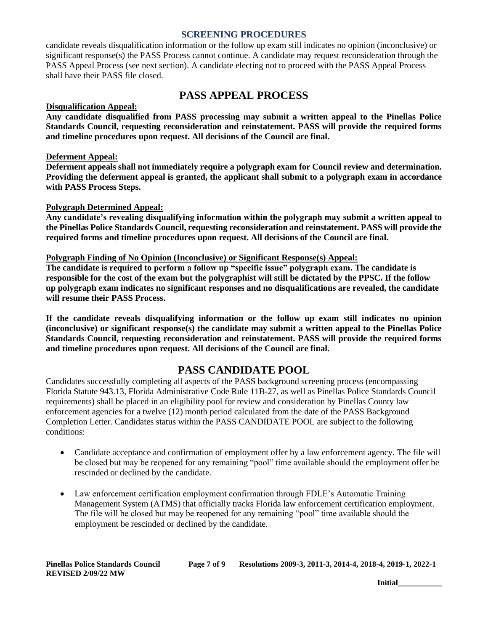candidate reveals disqualification information or the follow up exam still indicates no opinion (inconclusive) or significant response(s) the PASS Process cannot continue. A candidate may request reconsideration through the PASS Appeal Process (see next section). A candidate electing not to proceed with the PASS Appeal Process shall have their PASS file closed.

# **PASS APPEAL PROCESS**

#### **Disqualification Appeal:**

**Any candidate disqualified from PASS processing may submit a written appeal to the Pinellas Police Standards Council, requesting reconsideration and reinstatement. PASS will provide the required forms and timeline procedures upon request. All decisions of the Council are final.** 

#### **Deferment Appeal:**

**Deferment appeals shall not immediately require a polygraph exam for Council review and determination. Providing the deferment appeal is granted, the applicant shall submit to a polygraph exam in accordance with PASS Process Steps.**

#### **Polygraph Determined Appeal:**

**Any candidate's revealing disqualifying information within the polygraph may submit a written appeal to the Pinellas Police Standards Council, requesting reconsideration and reinstatement. PASS will provide the required forms and timeline procedures upon request. All decisions of the Council are final.**

#### **Polygraph Finding of No Opinion (Inconclusive) or Significant Response(s) Appeal:**

**The candidate is required to perform a follow up "specific issue" polygraph exam. The candidate is responsible for the cost of the exam but the polygraphist will still be dictated by the PPSC. If the follow up polygraph exam indicates no significant responses and no disqualifications are revealed, the candidate will resume their PASS Process.** 

**If the candidate reveals disqualifying information or the follow up exam still indicates no opinion (inconclusive) or significant response(s) the candidate may submit a written appeal to the Pinellas Police Standards Council, requesting reconsideration and reinstatement. PASS will provide the required forms and timeline procedures upon request. All decisions of the Council are final.**

### **PASS CANDIDATE POOL**

Candidates successfully completing all aspects of the PASS background screening process (encompassing Florida Statute 943.13, Florida Administrative Code Rule 11B-27, as well as Pinellas Police Standards Council requirements) shall be placed in an eligibility pool for review and consideration by Pinellas County law enforcement agencies for a twelve (12) month period calculated from the date of the PASS Background Completion Letter. Candidates status within the PASS CANDIDATE POOL are subject to the following conditions:

- Candidate acceptance and confirmation of employment offer by a law enforcement agency. The file will be closed but may be reopened for any remaining "pool" time available should the employment offer be rescinded or declined by the candidate.
- Law enforcement certification employment confirmation through FDLE's Automatic Training Management System (ATMS) that officially tracks Florida law enforcement certification employment. The file will be closed but may be reopened for any remaining "pool" time available should the employment be rescinded or declined by the candidate.

| Pinellas Police Standards Council | Page 7 of 9 | Resolutions 2009-3, 2011-3, 2014-4, 2018-4, 2019-1, 2022-1 |
|-----------------------------------|-------------|------------------------------------------------------------|
| <b>REVISED 2/09/22 MW</b>         |             |                                                            |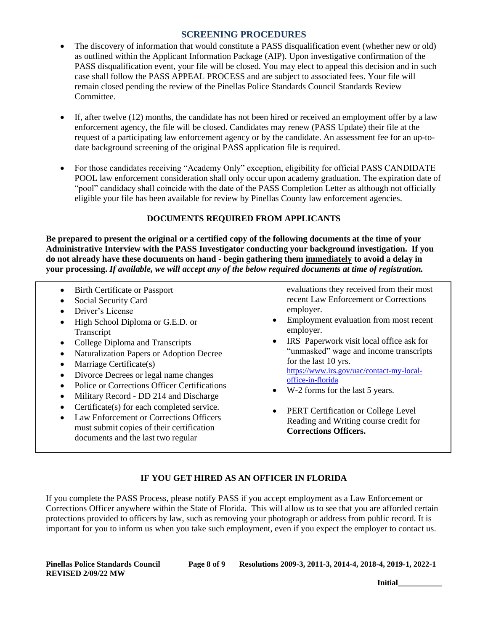- The discovery of information that would constitute a PASS disqualification event (whether new or old) as outlined within the Applicant Information Package (AIP). Upon investigative confirmation of the PASS disqualification event, your file will be closed. You may elect to appeal this decision and in such case shall follow the PASS APPEAL PROCESS and are subject to associated fees. Your file will remain closed pending the review of the Pinellas Police Standards Council Standards Review Committee.
- If, after twelve (12) months, the candidate has not been hired or received an employment offer by a law enforcement agency, the file will be closed. Candidates may renew (PASS Update) their file at the request of a participating law enforcement agency or by the candidate. An assessment fee for an up-todate background screening of the original PASS application file is required.
- For those candidates receiving "Academy Only" exception, eligibility for official PASS CANDIDATE POOL law enforcement consideration shall only occur upon academy graduation. The expiration date of "pool" candidacy shall coincide with the date of the PASS Completion Letter as although not officially eligible your file has been available for review by Pinellas County law enforcement agencies.

### **DOCUMENTS REQUIRED FROM APPLICANTS**

**Be prepared to present the original or a certified copy of the following documents at the time of your Administrative Interview with the PASS Investigator conducting your background investigation. If you do not already have these documents on hand - begin gathering them immediately to avoid a delay in your processing.** *If available, we will accept any of the below required documents at time of registration.*

- Birth Certificate or Passport
- Social Security Card
- Driver's License
- High School Diploma or G.E.D. or Transcript
- College Diploma and Transcripts
- Naturalization Papers or Adoption Decree
- Marriage Certificate(s)
- Divorce Decrees or legal name changes
- Police or Corrections Officer Certifications
- Military Record DD 214 and Discharge
- Certificate(s) for each completed service.
- Law Enforcement or Corrections Officers must submit copies of their certification documents and the last two regular

evaluations they received from their most recent Law Enforcement or Corrections employer.

- Employment evaluation from most recent employer.
- IRS Paperwork visit local office ask for "unmasked" wage and income transcripts for the last 10 yrs. [https://www.irs.gov/uac/contact-my-local](https://www.irs.gov/uac/contact-my-local-office-in-florida)[office-in-florida](https://www.irs.gov/uac/contact-my-local-office-in-florida)
- W-2 forms for the last 5 years.
- PERT Certification or College Level Reading and Writing course credit for **Corrections Officers.**

### **IF YOU GET HIRED AS AN OFFICER IN FLORIDA**

If you complete the PASS Process, please notify PASS if you accept employment as a Law Enforcement or Corrections Officer anywhere within the State of Florida. This will allow us to see that you are afforded certain protections provided to officers by law, such as removing your photograph or address from public record. It is important for you to inform us when you take such employment, even if you expect the employer to contact us.

**REVISED 2/09/22 MW**

**Pinellas Police Standards Council Page 8 of 9 Resolutions 2009-3, 2011-3, 2014-4, 2018-4, 2019-1, 2022-1**